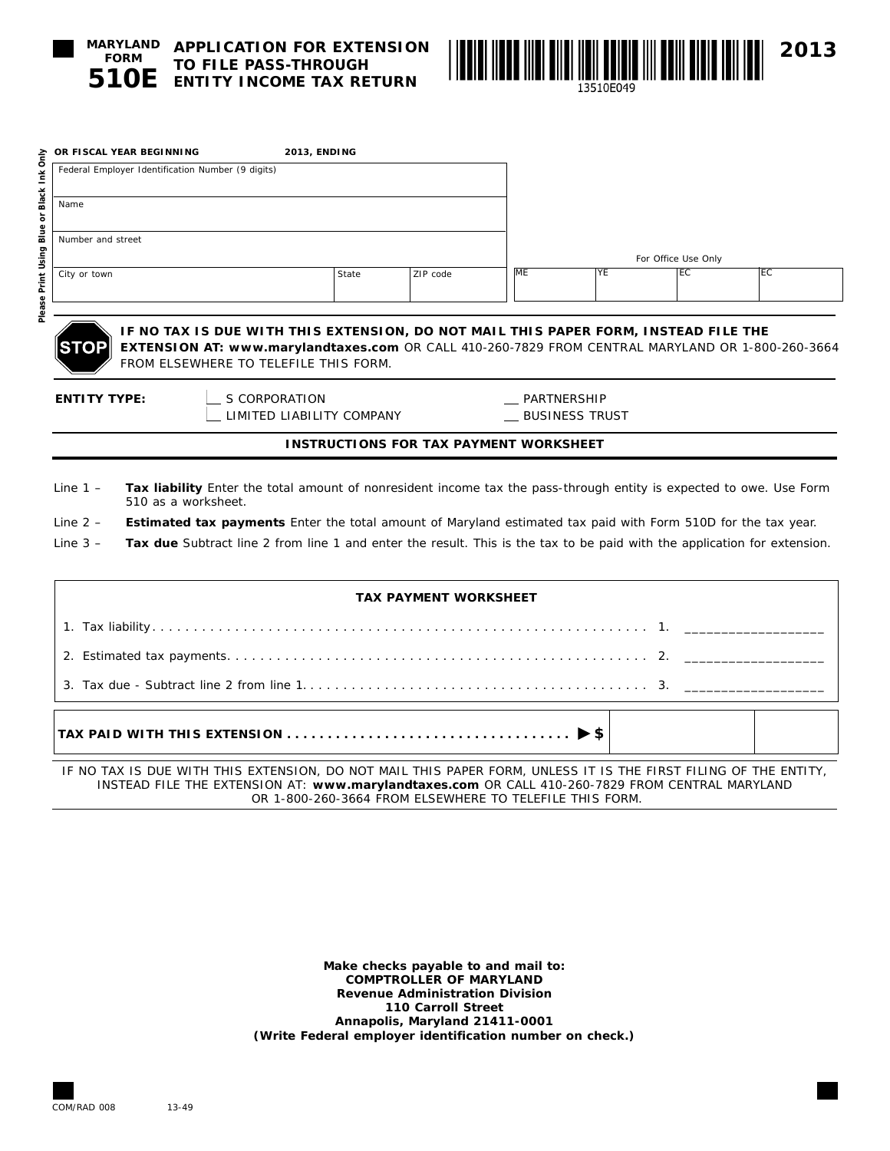

**Please Print Using Blue or Black Ink Only**

Please Print Using Blue or Black Ink Only

**510E ENTITY INCOME TAX RETURN TO FILE PASS-THROUGH** 



| OR FISCAL YEAR BEGINNING                                          | <b>2013, ENDING</b>                                                                                                                                                                                                              |       |                                               |                       |    |                     |    |
|-------------------------------------------------------------------|----------------------------------------------------------------------------------------------------------------------------------------------------------------------------------------------------------------------------------|-------|-----------------------------------------------|-----------------------|----|---------------------|----|
| Federal Employer Identification Number (9 digits)                 |                                                                                                                                                                                                                                  |       |                                               |                       |    |                     |    |
| Name                                                              |                                                                                                                                                                                                                                  |       |                                               |                       |    |                     |    |
| Number and street                                                 |                                                                                                                                                                                                                                  |       |                                               |                       |    |                     |    |
|                                                                   |                                                                                                                                                                                                                                  |       |                                               |                       |    | For Office Use Only |    |
| City or town                                                      |                                                                                                                                                                                                                                  | State | ZIP code                                      | <b>ME</b>             | YE | EC                  | EC |
|                                                                   |                                                                                                                                                                                                                                  |       |                                               |                       |    |                     |    |
| <b>STOP</b>                                                       | IF NO TAX IS DUE WITH THIS EXTENSION, DO NOT MAIL THIS PAPER FORM, INSTEAD FILE THE<br>EXTENSION AT: www.marylandtaxes.com OR CALL 410-260-7829 FROM CENTRAL MARYLAND OR 1-800-260-3664<br>FROM ELSEWHERE TO TELEFILE THIS FORM. |       |                                               |                       |    |                     |    |
| S CORPORATION<br><b>ENTITY TYPE:</b><br>LIMITED LIABILITY COMPANY |                                                                                                                                                                                                                                  |       |                                               | PARTNERSHIP           |    |                     |    |
|                                                                   |                                                                                                                                                                                                                                  |       |                                               | <b>BUSINESS TRUST</b> |    |                     |    |
|                                                                   |                                                                                                                                                                                                                                  |       | <b>INSTRUCTIONS FOR TAX PAYMENT WORKSHEET</b> |                       |    |                     |    |
| Line $1 -$                                                        | Tax liability Enter the total amount of nonresident income tax the pass-through entity is expected to owe. Use Form<br>510 as a worksheet.                                                                                       |       |                                               |                       |    |                     |    |
| Line $2 -$                                                        | Estimated tax payments Enter the total amount of Maryland estimated tax paid with Form 510D for the tax year.                                                                                                                    |       |                                               |                       |    |                     |    |
| Line $3 -$                                                        | Tax due Subtract line 2 from line 1 and enter the result. This is the tax to be paid with the application for extension.                                                                                                         |       |                                               |                       |    |                     |    |
|                                                                   |                                                                                                                                                                                                                                  |       | <b>TAX PAYMENT WORKSHEET</b>                  |                       |    |                     |    |
|                                                                   |                                                                                                                                                                                                                                  |       |                                               |                       |    |                     |    |
|                                                                   |                                                                                                                                                                                                                                  |       |                                               |                       |    |                     |    |
|                                                                   |                                                                                                                                                                                                                                  |       |                                               |                       |    |                     |    |
|                                                                   |                                                                                                                                                                                                                                  |       |                                               |                       |    |                     |    |

**TAX PAID WITH THIS EXTENSION. . . \$**

IF NO TAX IS DUE WITH THIS EXTENSION, DO NOT MAIL THIS PAPER FORM, UNLESS IT IS THE FIRST FILING OF THE ENTITY, INSTEAD FILE THE EXTENSION AT: **www.marylandtaxes.com** OR CALL 410-260-7829 FROM CENTRAL MARYLAND OR 1-800-260-3664 FROM ELSEWHERE TO TELEFILE THIS FORM.

> **Make checks payable to and mail to: COMPTROLLER OF MARYLAND Revenue Administration Division 110 Carroll Street Annapolis, Maryland 21411-0001 (Write Federal employer identification number on check.)**

COM/RAD 008 13-49